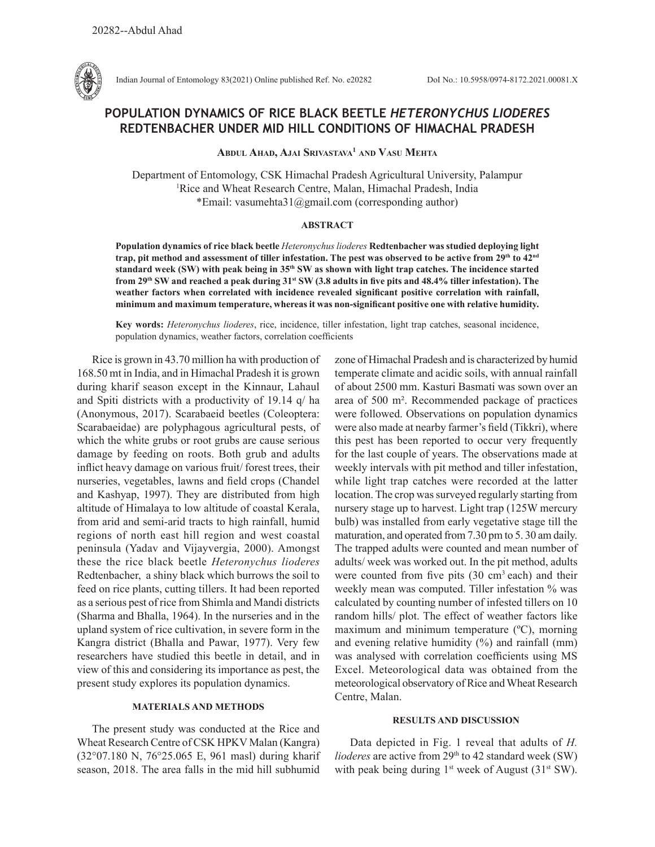

Indian Journal of Entomology 83(2021) Online published Ref. No. e20282 DoI No.: 10.5958/0974-8172.2021.00081.X

# **POPULATION DYNAMICS OF RICE BLACK BEETLE** *HETERONYCHUS LIODERES*  **REDTENBACHER UNDER MID HILL CONDITIONS OF HIMACHAL PRADESH**

## **Abdul Ahad, Ajai Srivastava1 and Vasu Mehta**

Department of Entomology, CSK Himachal Pradesh Agricultural University, Palampur 1 Rice and Wheat Research Centre, Malan, Himachal Pradesh, India \*Email: vasumehta31@gmail.com (corresponding author)

# **ABSTRACT**

**Population dynamics of rice black beetle** *Heteronychus lioderes* **Redtenbacher was studied deploying light trap, pit method and assessment of tiller infestation. The pest was observed to be active from 29th to 42nd standard week (SW) with peak being in 35th SW as shown with light trap catches. The incidence started from 29th SW and reached a peak during 31st SW (3.8 adults in five pits and 48.4% tiller infestation). The weather factors when correlated with incidence revealed significant positive correlation with rainfall, minimum and maximum temperature, whereas it was non-significant positive one with relative humidity.**

**Key words:** *Heteronychus lioderes*, rice, incidence, tiller infestation, light trap catches, seasonal incidence, population dynamics, weather factors, correlation coefficients

Rice is grown in 43.70 million ha with production of 168.50 mt in India, and in Himachal Pradesh it is grown during kharif season except in the Kinnaur, Lahaul and Spiti districts with a productivity of 19.14 q/ ha (Anonymous, 2017). Scarabaeid beetles (Coleoptera: Scarabaeidae) are polyphagous agricultural pests, of which the white grubs or root grubs are cause serious damage by feeding on roots. Both grub and adults inflict heavy damage on various fruit/ forest trees, their nurseries, vegetables, lawns and field crops (Chandel and Kashyap, 1997). They are distributed from high altitude of Himalaya to low altitude of coastal Kerala, from arid and semi-arid tracts to high rainfall, humid regions of north east hill region and west coastal peninsula (Yadav and Vijayvergia, 2000). Amongst these the rice black beetle *Heteronychus lioderes*  Redtenbacher, a shiny black which burrows the soil to feed on rice plants, cutting tillers. It had been reported as a serious pest of rice from Shimla and Mandi districts (Sharma and Bhalla, 1964). In the nurseries and in the upland system of rice cultivation, in severe form in the Kangra district (Bhalla and Pawar, 1977). Very few researchers have studied this beetle in detail, and in view of this and considering its importance as pest, the present study explores its population dynamics.

# **MATERIALS AND METHODS**

The present study was conducted at the Rice and Wheat Research Centre of CSK HPKV Malan (Kangra) (32°07.180 N, 76°25.065 E, 961 masl) during kharif season, 2018. The area falls in the mid hill subhumid zone of Himachal Pradesh and is characterized by humid temperate climate and acidic soils, with annual rainfall of about 2500 mm. Kasturi Basmati was sown over an area of 500 m². Recommended package of practices were followed. Observations on population dynamics were also made at nearby farmer's field (Tikkri), where this pest has been reported to occur very frequently for the last couple of years. The observations made at weekly intervals with pit method and tiller infestation, while light trap catches were recorded at the latter location. The crop was surveyed regularly starting from nursery stage up to harvest. Light trap (125W mercury bulb) was installed from early vegetative stage till the maturation, and operated from 7.30 pm to 5. 30 am daily. The trapped adults were counted and mean number of adults/ week was worked out. In the pit method, adults were counted from five pits  $(30 \text{ cm}^3 \text{ each})$  and their weekly mean was computed. Tiller infestation % was calculated by counting number of infested tillers on 10 random hills/ plot. The effect of weather factors like maximum and minimum temperature (ºC), morning and evening relative humidity  $(\%)$  and rainfall (mm) was analysed with correlation coefficients using MS Excel. Meteorological data was obtained from the meteorological observatory of Rice and Wheat Research Centre, Malan.

### **RESULTS AND DISCUSSION**

Data depicted in Fig. 1 reveal that adults of *H. lioderes* are active from 29<sup>th</sup> to 42 standard week (SW) with peak being during  $1^{st}$  week of August (31 $^{st}$  SW).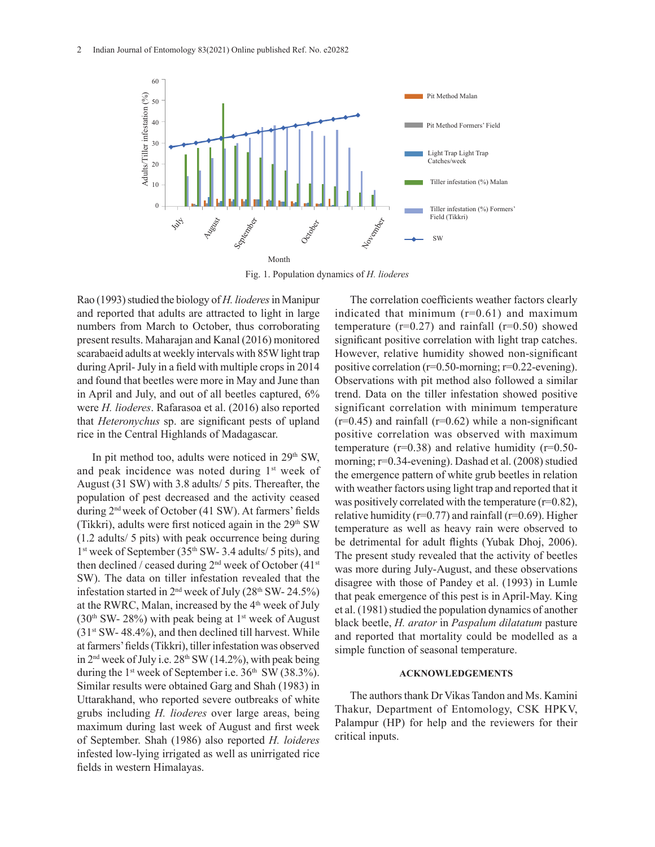

Fig. 1. Population dynamics of *H. lioderes*

Rao (1993) studied the biology of *H. lioderes* in Manipur and reported that adults are attracted to light in large numbers from March to October, thus corroborating present results. Maharajan and Kanal (2016) monitored scarabaeid adults at weekly intervals with 85W light trap during April- July in a field with multiple crops in 2014 and found that beetles were more in May and June than in April and July, and out of all beetles captured, 6% were *H. lioderes*. Rafarasoa et al. (2016) also reported that *Heteronychus* sp. are significant pests of upland rice in the Central Highlands of Madagascar.

In pit method too, adults were noticed in 29th SW, and peak incidence was noted during 1<sup>st</sup> week of August (31 SW) with 3.8 adults/ 5 pits. Thereafter, the population of pest decreased and the activity ceased during 2nd week of October (41 SW). At farmers' fields (Tikkri), adults were first noticed again in the  $29<sup>th</sup>$  SW (1.2 adults/ 5 pits) with peak occurrence being during 1st week of September (35th SW- 3.4 adults/ 5 pits), and then declined / ceased during  $2<sup>nd</sup>$  week of October (41<sup>st</sup>) SW). The data on tiller infestation revealed that the infestation started in  $2<sup>nd</sup>$  week of July (28<sup>th</sup> SW- 24.5%) at the RWRC, Malan, increased by the 4<sup>th</sup> week of July  $(30<sup>th</sup> SW- 28%)$  with peak being at 1<sup>st</sup> week of August  $(31<sup>st</sup> SW- 48.4%)$ , and then declined till harvest. While at farmers' fields (Tikkri), tiller infestation was observed in  $2<sup>nd</sup>$  week of July i.e.  $28<sup>th</sup>$  SW (14.2%), with peak being during the 1<sup>st</sup> week of September i.e.  $36<sup>th</sup>$  SW (38.3%). Similar results were obtained Garg and Shah (1983) in Uttarakhand, who reported severe outbreaks of white grubs including *H. lioderes* over large areas, being maximum during last week of August and first week of September. Shah (1986) also reported *H. loideres*  infested low-lying irrigated as well as unirrigated rice fields in western Himalayas.

The correlation coefficients weather factors clearly indicated that minimum  $(r=0.61)$  and maximum temperature  $(r=0.27)$  and rainfall  $(r=0.50)$  showed significant positive correlation with light trap catches. However, relative humidity showed non-significant positive correlation (r=0.50-morning; r=0.22-evening). Observations with pit method also followed a similar trend. Data on the tiller infestation showed positive significant correlation with minimum temperature  $(r=0.45)$  and rainfall  $(r=0.62)$  while a non-significant positive correlation was observed with maximum temperature  $(r=0.38)$  and relative humidity  $(r=0.50$ morning; r=0.34-evening). Dashad et al. (2008) studied the emergence pattern of white grub beetles in relation with weather factors using light trap and reported that it was positively correlated with the temperature (r=0.82), relative humidity ( $r=0.77$ ) and rainfall ( $r=0.69$ ). Higher temperature as well as heavy rain were observed to be detrimental for adult flights (Yubak Dhoj, 2006). The present study revealed that the activity of beetles was more during July-August, and these observations disagree with those of Pandey et al. (1993) in Lumle that peak emergence of this pest is in April-May. King et al. (1981) studied the population dynamics of another black beetle, *H. arator* in *Paspalum dilatatum* pasture and reported that mortality could be modelled as a simple function of seasonal temperature.

#### **ACKNOWLEDGEMENTS**

The authors thank Dr Vikas Tandon and Ms. Kamini Thakur, Department of Entomology, CSK HPKV, Palampur (HP) for help and the reviewers for their critical inputs.